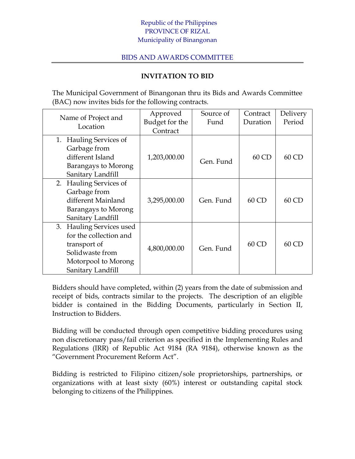## Republic of the Philippines PROVINCE OF RIZAL Municipality of Binangonan

## BIDS AND AWARDS COMMITTEE

## **INVITATION TO BID**

The Municipal Government of Binangonan thru its Bids and Awards Committee (BAC) now invites bids for the following contracts.

| Name of Project and<br>Location  | Approved       | Source of | Contract | Delivery |
|----------------------------------|----------------|-----------|----------|----------|
|                                  | Budget for the | Fund      | Duration | Period   |
|                                  | Contract       |           |          |          |
| <b>Hauling Services of</b><br>1. |                |           |          |          |
| Garbage from                     |                |           |          |          |
| different Island                 | 1,203,000.00   | Gen. Fund | $60$ CD  | 60 CD    |
| Barangays to Morong              |                |           |          |          |
| Sanitary Landfill                |                |           |          |          |
| 2. Hauling Services of           |                |           |          |          |
| Garbage from                     |                |           |          |          |
| different Mainland               | 3,295,000.00   | Gen. Fund | 60 CD    | 60 CD    |
| Barangays to Morong              |                |           |          |          |
| Sanitary Landfill                |                |           |          |          |
| 3. Hauling Services used         |                |           |          |          |
| for the collection and           |                |           |          |          |
| transport of                     |                |           | 60 CD    | 60 CD    |
| Solidwaste from                  | 4,800,000.00   | Gen. Fund |          |          |
| Motorpool to Morong              |                |           |          |          |
| Sanitary Landfill                |                |           |          |          |

Bidders should have completed, within (2) years from the date of submission and receipt of bids, contracts similar to the projects. The description of an eligible bidder is contained in the Bidding Documents, particularly in Section II, Instruction to Bidders.

Bidding will be conducted through open competitive bidding procedures using non discretionary pass/fail criterion as specified in the Implementing Rules and Regulations (IRR) of Republic Act 9184 (RA 9184), otherwise known as the "Government Procurement Reform Act".

Bidding is restricted to Filipino citizen/sole proprietorships, partnerships, or organizations with at least sixty (60%) interest or outstanding capital stock belonging to citizens of the Philippines.